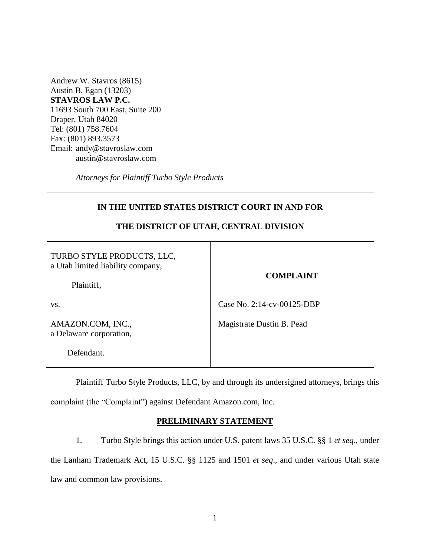Andrew W. Stavros (8615) Austin B. Egan (13203) **STAVROS LAW P.C.** 11693 South 700 East, Suite 200 Draper, Utah 84020 Tel: (801) 758.7604 Fax: (801) 893.3573 Email: andy@stavroslaw.com austin@stavroslaw.com

*Attorneys for Plaintiff Turbo Style Products*

# **THE DISTRICT OF UTAH, CENTRAL DIVISION** TURBO STYLE PRODUCTS, LLC, a Utah limited liability company, Plaintiff, vs. AMAZON.COM, INC., a Delaware corporation, Defendant. **COMPLAINT** Case No. 2:14-cv-00125-DBP Magistrate Dustin B. Pead

# **IN THE UNITED STATES DISTRICT COURT IN AND FOR**

Plaintiff Turbo Style Products, LLC, by and through its undersigned attorneys, brings this complaint (the "Complaint") against Defendant Amazon.com, Inc.

# **PRELIMINARY STATEMENT**

1. Turbo Style brings this action under U.S. patent laws 35 U.S.C. §§ 1 *et seq*., under the Lanham Trademark Act, 15 U.S.C. §§ 1125 and 1501 *et seq*., and under various Utah state law and common law provisions.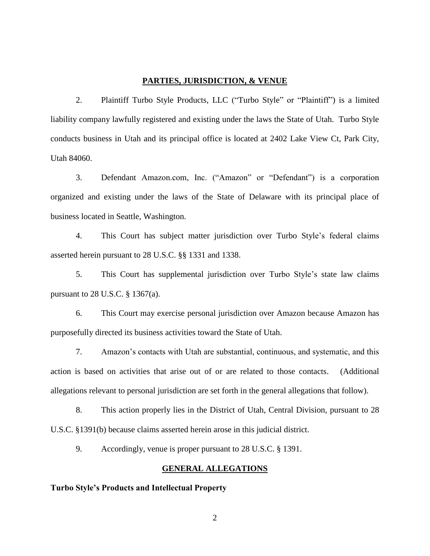#### **PARTIES, JURISDICTION, & VENUE**

2. Plaintiff Turbo Style Products, LLC ("Turbo Style" or "Plaintiff") is a limited liability company lawfully registered and existing under the laws the State of Utah. Turbo Style conducts business in Utah and its principal office is located at 2402 Lake View Ct, Park City, Utah 84060.

3. Defendant Amazon.com, Inc. ("Amazon" or "Defendant") is a corporation organized and existing under the laws of the State of Delaware with its principal place of business located in Seattle, Washington.

4. This Court has subject matter jurisdiction over Turbo Style's federal claims asserted herein pursuant to 28 U.S.C. §§ 1331 and 1338.

5. This Court has supplemental jurisdiction over Turbo Style's state law claims pursuant to 28 U.S.C. § 1367(a).

6. This Court may exercise personal jurisdiction over Amazon because Amazon has purposefully directed its business activities toward the State of Utah.

7. Amazon's contacts with Utah are substantial, continuous, and systematic, and this action is based on activities that arise out of or are related to those contacts. (Additional allegations relevant to personal jurisdiction are set forth in the general allegations that follow).

 8. This action properly lies in the District of Utah, Central Division, pursuant to 28 U.S.C. §1391(b) because claims asserted herein arose in this judicial district.

9. Accordingly, venue is proper pursuant to 28 U.S.C. § 1391.

## **GENERAL ALLEGATIONS**

#### **Turbo Style's Products and Intellectual Property**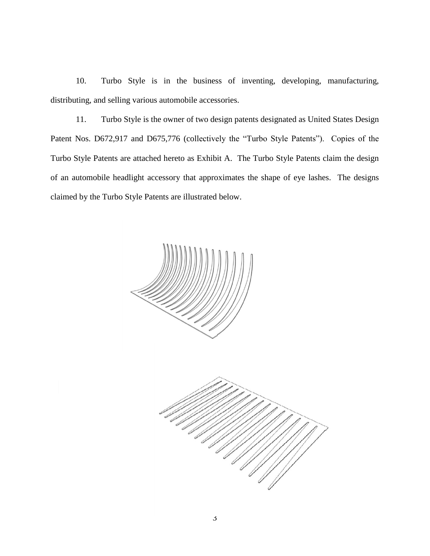10. Turbo Style is in the business of inventing, developing, manufacturing, distributing, and selling various automobile accessories.

11. Turbo Style is the owner of two design patents designated as United States Design Patent Nos. D672,917 and D675,776 (collectively the "Turbo Style Patents"). Copies of the Turbo Style Patents are attached hereto as Exhibit A. The Turbo Style Patents claim the design of an automobile headlight accessory that approximates the shape of eye lashes. The designs claimed by the Turbo Style Patents are illustrated below.

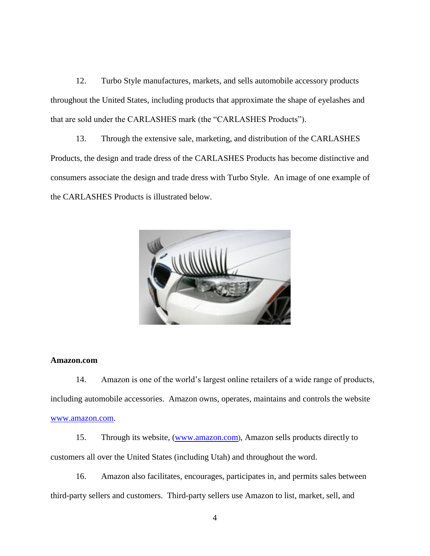12. Turbo Style manufactures, markets, and sells automobile accessory products throughout the United States, including products that approximate the shape of eyelashes and that are sold under the CARLASHES mark (the "CARLASHES Products").

13. Through the extensive sale, marketing, and distribution of the CARLASHES Products, the design and trade dress of the CARLASHES Products has become distinctive and consumers associate the design and trade dress with Turbo Style. An image of one example of the CARLASHES Products is illustrated below.



#### **Amazon.com**

14. Amazon is one of the world's largest online retailers of a wide range of products, including automobile accessories. Amazon owns, operates, maintains and controls the website [www.amazon.com.](http://www.amazon.com/)

15. Through its website, [\(www.amazon.com](http://www.amazon.com/)), Amazon sells products directly to customers all over the United States (including Utah) and throughout the word.

16. Amazon also facilitates, encourages, participates in, and permits sales between third-party sellers and customers. Third-party sellers use Amazon to list, market, sell, and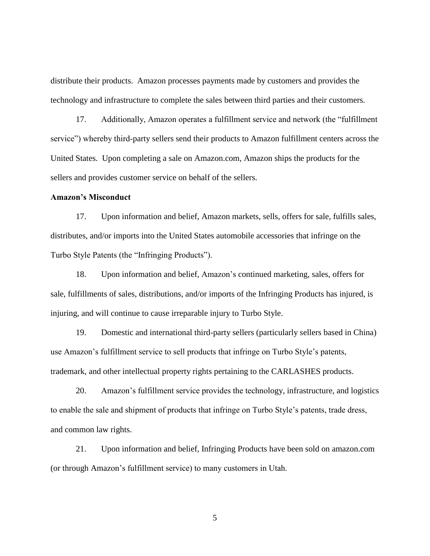distribute their products. Amazon processes payments made by customers and provides the technology and infrastructure to complete the sales between third parties and their customers.

17. Additionally, Amazon operates a fulfillment service and network (the "fulfillment service") whereby third-party sellers send their products to Amazon fulfillment centers across the United States. Upon completing a sale on Amazon.com, Amazon ships the products for the sellers and provides customer service on behalf of the sellers.

## **Amazon's Misconduct**

17. Upon information and belief, Amazon markets, sells, offers for sale, fulfills sales, distributes, and/or imports into the United States automobile accessories that infringe on the Turbo Style Patents (the "Infringing Products").

18. Upon information and belief, Amazon's continued marketing, sales, offers for sale, fulfillments of sales, distributions, and/or imports of the Infringing Products has injured, is injuring, and will continue to cause irreparable injury to Turbo Style.

19. Domestic and international third-party sellers (particularly sellers based in China) use Amazon's fulfillment service to sell products that infringe on Turbo Style's patents, trademark, and other intellectual property rights pertaining to the CARLASHES products.

20. Amazon's fulfillment service provides the technology, infrastructure, and logistics to enable the sale and shipment of products that infringe on Turbo Style's patents, trade dress, and common law rights.

21. Upon information and belief, Infringing Products have been sold on amazon.com (or through Amazon's fulfillment service) to many customers in Utah.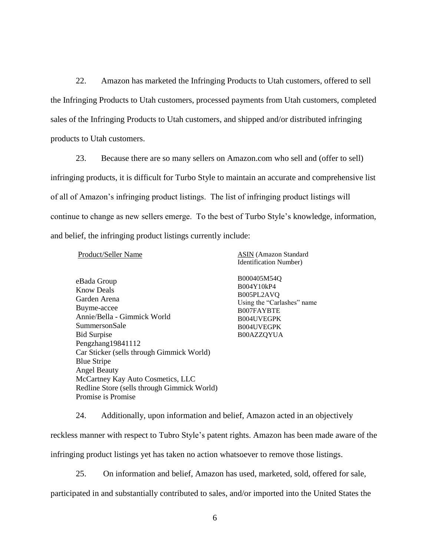22. Amazon has marketed the Infringing Products to Utah customers, offered to sell the Infringing Products to Utah customers, processed payments from Utah customers, completed sales of the Infringing Products to Utah customers, and shipped and/or distributed infringing products to Utah customers.

23. Because there are so many sellers on Amazon.com who sell and (offer to sell) infringing products, it is difficult for Turbo Style to maintain an accurate and comprehensive list of all of Amazon's infringing product listings. The list of infringing product listings will continue to change as new sellers emerge. To the best of Turbo Style's knowledge, information, and belief, the infringing product listings currently include:

Product/Seller Name

ASIN (Amazon Standard Identification Number)

eBada Group Know Deals Garden Arena Buyme-accee Annie/Bella - Gimmick World SummersonSale Bid Surpise Pengzhang19841112 Car Sticker (sells through Gimmick World) Blue Stripe Angel Beauty McCartney Kay Auto Cosmetics, LLC Redline Store (sells through Gimmick World) Promise is Promise

B000405M54Q B004Y10kP4 B005PL2AVQ Using the "Carlashes" name B007FAYBTE B004UVEGPK B004UVEGPK B00AZZQYUA

24. Additionally, upon information and belief, Amazon acted in an objectively

reckless manner with respect to Tubro Style's patent rights. Amazon has been made aware of the

infringing product listings yet has taken no action whatsoever to remove those listings.

25. On information and belief, Amazon has used, marketed, sold, offered for sale,

participated in and substantially contributed to sales, and/or imported into the United States the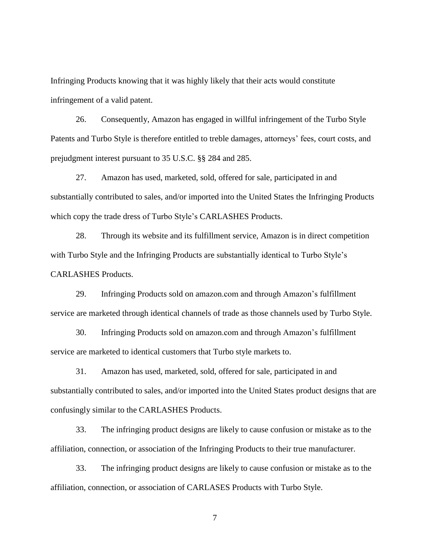Infringing Products knowing that it was highly likely that their acts would constitute infringement of a valid patent.

26. Consequently, Amazon has engaged in willful infringement of the Turbo Style Patents and Turbo Style is therefore entitled to treble damages, attorneys' fees, court costs, and prejudgment interest pursuant to 35 U.S.C. §§ 284 and 285.

27. Amazon has used, marketed, sold, offered for sale, participated in and substantially contributed to sales, and/or imported into the United States the Infringing Products which copy the trade dress of Turbo Style's CARLASHES Products.

28. Through its website and its fulfillment service, Amazon is in direct competition with Turbo Style and the Infringing Products are substantially identical to Turbo Style's CARLASHES Products.

29. Infringing Products sold on amazon.com and through Amazon's fulfillment service are marketed through identical channels of trade as those channels used by Turbo Style.

30. Infringing Products sold on amazon.com and through Amazon's fulfillment service are marketed to identical customers that Turbo style markets to.

31. Amazon has used, marketed, sold, offered for sale, participated in and substantially contributed to sales, and/or imported into the United States product designs that are confusingly similar to the CARLASHES Products.

33. The infringing product designs are likely to cause confusion or mistake as to the affiliation, connection, or association of the Infringing Products to their true manufacturer.

33. The infringing product designs are likely to cause confusion or mistake as to the affiliation, connection, or association of CARLASES Products with Turbo Style.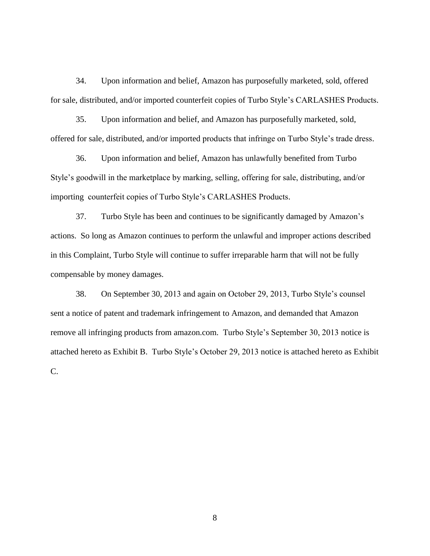34. Upon information and belief, Amazon has purposefully marketed, sold, offered for sale, distributed, and/or imported counterfeit copies of Turbo Style's CARLASHES Products.

35. Upon information and belief, and Amazon has purposefully marketed, sold, offered for sale, distributed, and/or imported products that infringe on Turbo Style's trade dress.

36. Upon information and belief, Amazon has unlawfully benefited from Turbo Style's goodwill in the marketplace by marking, selling, offering for sale, distributing, and/or importing counterfeit copies of Turbo Style's CARLASHES Products.

37. Turbo Style has been and continues to be significantly damaged by Amazon's actions. So long as Amazon continues to perform the unlawful and improper actions described in this Complaint, Turbo Style will continue to suffer irreparable harm that will not be fully compensable by money damages.

38. On September 30, 2013 and again on October 29, 2013, Turbo Style's counsel sent a notice of patent and trademark infringement to Amazon, and demanded that Amazon remove all infringing products from amazon.com. Turbo Style's September 30, 2013 notice is attached hereto as Exhibit B. Turbo Style's October 29, 2013 notice is attached hereto as Exhibit C.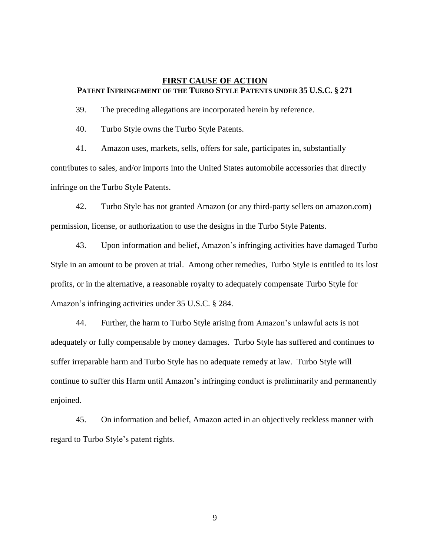## **FIRST CAUSE OF ACTION PATENT INFRINGEMENT OF THE TURBO STYLE PATENTS UNDER 35 U.S.C. § 271**

39. The preceding allegations are incorporated herein by reference.

40. Turbo Style owns the Turbo Style Patents.

41. Amazon uses, markets, sells, offers for sale, participates in, substantially contributes to sales, and/or imports into the United States automobile accessories that directly infringe on the Turbo Style Patents.

42. Turbo Style has not granted Amazon (or any third-party sellers on amazon.com) permission, license, or authorization to use the designs in the Turbo Style Patents.

43. Upon information and belief, Amazon's infringing activities have damaged Turbo Style in an amount to be proven at trial. Among other remedies, Turbo Style is entitled to its lost profits, or in the alternative, a reasonable royalty to adequately compensate Turbo Style for Amazon's infringing activities under 35 U.S.C. § 284.

44. Further, the harm to Turbo Style arising from Amazon's unlawful acts is not adequately or fully compensable by money damages. Turbo Style has suffered and continues to suffer irreparable harm and Turbo Style has no adequate remedy at law. Turbo Style will continue to suffer this Harm until Amazon's infringing conduct is preliminarily and permanently enjoined.

45. On information and belief, Amazon acted in an objectively reckless manner with regard to Turbo Style's patent rights.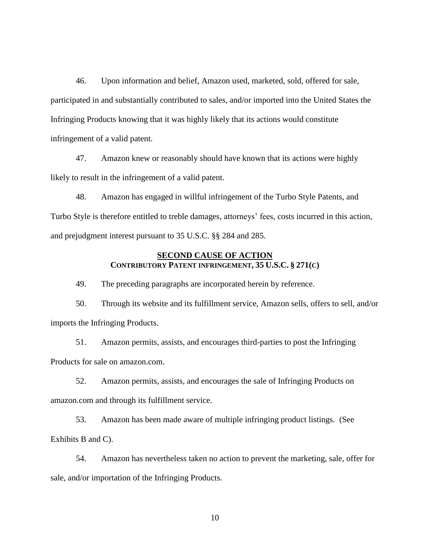46. Upon information and belief, Amazon used, marketed, sold, offered for sale, participated in and substantially contributed to sales, and/or imported into the United States the Infringing Products knowing that it was highly likely that its actions would constitute infringement of a valid patent.

47. Amazon knew or reasonably should have known that its actions were highly likely to result in the infringement of a valid patent.

48. Amazon has engaged in willful infringement of the Turbo Style Patents, and Turbo Style is therefore entitled to treble damages, attorneys' fees, costs incurred in this action, and prejudgment interest pursuant to 35 U.S.C. §§ 284 and 285.

# **SECOND CAUSE OF ACTION CONTRIBUTORY PATENT INFRINGEMENT, 35 U.S.C. § 271(C)**

49. The preceding paragraphs are incorporated herein by reference.

50. Through its website and its fulfillment service, Amazon sells, offers to sell, and/or imports the Infringing Products.

51. Amazon permits, assists, and encourages third-parties to post the Infringing Products for sale on amazon.com.

52. Amazon permits, assists, and encourages the sale of Infringing Products on amazon.com and through its fulfillment service.

53. Amazon has been made aware of multiple infringing product listings. (See Exhibits B and C).

54. Amazon has nevertheless taken no action to prevent the marketing, sale, offer for sale, and/or importation of the Infringing Products.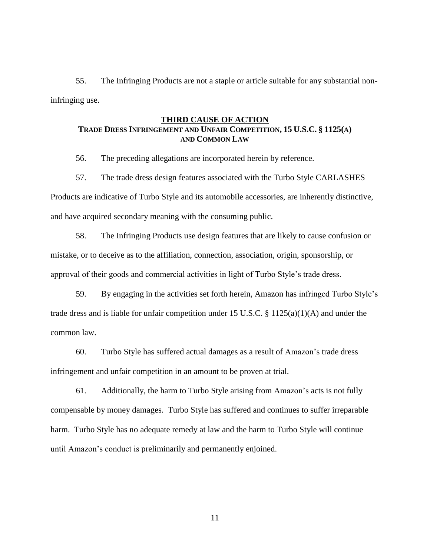55. The Infringing Products are not a staple or article suitable for any substantial noninfringing use.

#### **THIRD CAUSE OF ACTION**

# **TRADE DRESS INFRINGEMENT AND UNFAIR COMPETITION, 15 U.S.C. § 1125(A) AND COMMON LAW**

56. The preceding allegations are incorporated herein by reference.

57. The trade dress design features associated with the Turbo Style CARLASHES Products are indicative of Turbo Style and its automobile accessories, are inherently distinctive, and have acquired secondary meaning with the consuming public.

58. The Infringing Products use design features that are likely to cause confusion or mistake, or to deceive as to the affiliation, connection, association, origin, sponsorship, or approval of their goods and commercial activities in light of Turbo Style's trade dress.

59. By engaging in the activities set forth herein, Amazon has infringed Turbo Style's trade dress and is liable for unfair competition under 15 U.S.C. § 1125(a)(1)(A) and under the common law.

60. Turbo Style has suffered actual damages as a result of Amazon's trade dress infringement and unfair competition in an amount to be proven at trial.

61. Additionally, the harm to Turbo Style arising from Amazon's acts is not fully compensable by money damages. Turbo Style has suffered and continues to suffer irreparable harm. Turbo Style has no adequate remedy at law and the harm to Turbo Style will continue until Amazon's conduct is preliminarily and permanently enjoined.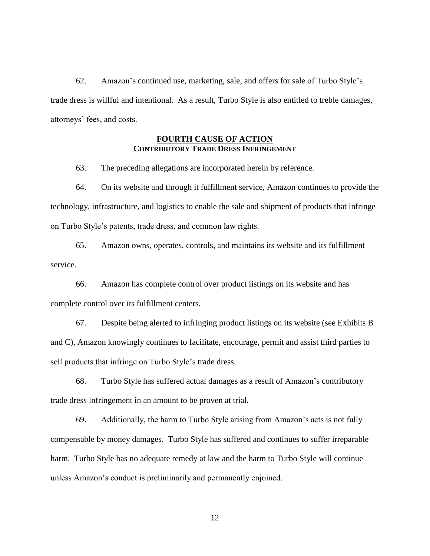62. Amazon's continued use, marketing, sale, and offers for sale of Turbo Style's trade dress is willful and intentional. As a result, Turbo Style is also entitled to treble damages, attorneys' fees, and costs.

# **FOURTH CAUSE OF ACTION CONTRIBUTORY TRADE DRESS INFRINGEMENT**

63. The preceding allegations are incorporated herein by reference.

64. On its website and through it fulfillment service, Amazon continues to provide the technology, infrastructure, and logistics to enable the sale and shipment of products that infringe on Turbo Style's patents, trade dress, and common law rights.

65. Amazon owns, operates, controls, and maintains its website and its fulfillment service.

66. Amazon has complete control over product listings on its website and has complete control over its fulfillment centers.

67. Despite being alerted to infringing product listings on its website (see Exhibits B and C), Amazon knowingly continues to facilitate, encourage, permit and assist third parties to sell products that infringe on Turbo Style's trade dress.

68. Turbo Style has suffered actual damages as a result of Amazon's contributory trade dress infringement in an amount to be proven at trial.

69. Additionally, the harm to Turbo Style arising from Amazon's acts is not fully compensable by money damages. Turbo Style has suffered and continues to suffer irreparable harm. Turbo Style has no adequate remedy at law and the harm to Turbo Style will continue unless Amazon's conduct is preliminarily and permanently enjoined.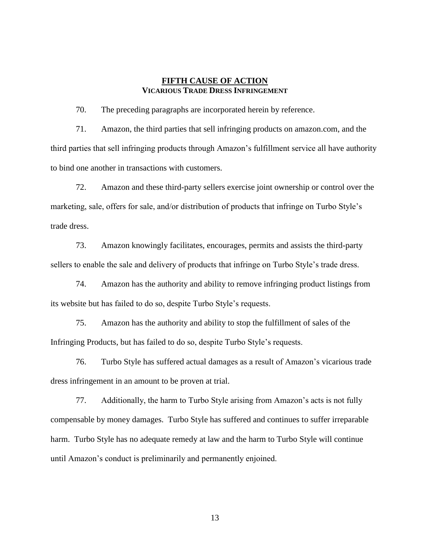# **FIFTH CAUSE OF ACTION VICARIOUS TRADE DRESS INFRINGEMENT**

70. The preceding paragraphs are incorporated herein by reference.

71. Amazon, the third parties that sell infringing products on amazon.com, and the third parties that sell infringing products through Amazon's fulfillment service all have authority to bind one another in transactions with customers.

72. Amazon and these third-party sellers exercise joint ownership or control over the marketing, sale, offers for sale, and/or distribution of products that infringe on Turbo Style's trade dress.

73. Amazon knowingly facilitates, encourages, permits and assists the third-party sellers to enable the sale and delivery of products that infringe on Turbo Style's trade dress.

74. Amazon has the authority and ability to remove infringing product listings from its website but has failed to do so, despite Turbo Style's requests.

75. Amazon has the authority and ability to stop the fulfillment of sales of the Infringing Products, but has failed to do so, despite Turbo Style's requests.

76. Turbo Style has suffered actual damages as a result of Amazon's vicarious trade dress infringement in an amount to be proven at trial.

77. Additionally, the harm to Turbo Style arising from Amazon's acts is not fully compensable by money damages. Turbo Style has suffered and continues to suffer irreparable harm. Turbo Style has no adequate remedy at law and the harm to Turbo Style will continue until Amazon's conduct is preliminarily and permanently enjoined.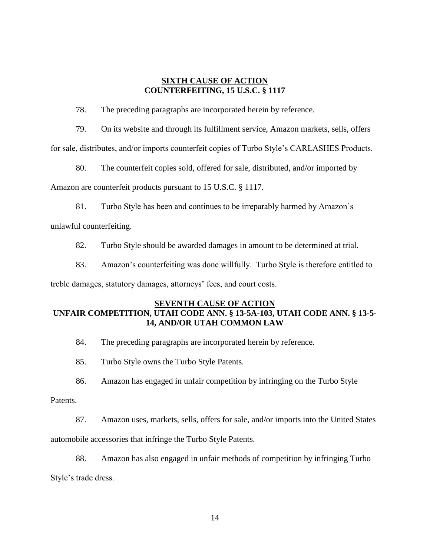# **SIXTH CAUSE OF ACTION COUNTERFEITING, 15 U.S.C. § 1117**

78. The preceding paragraphs are incorporated herein by reference.

79. On its website and through its fulfillment service, Amazon markets, sells, offers for sale, distributes, and/or imports counterfeit copies of Turbo Style's CARLASHES Products.

80. The counterfeit copies sold, offered for sale, distributed, and/or imported by

Amazon are counterfeit products pursuant to 15 U.S.C. § 1117.

81. Turbo Style has been and continues to be irreparably harmed by Amazon's unlawful counterfeiting.

82. Turbo Style should be awarded damages in amount to be determined at trial.

83. Amazon's counterfeiting was done willfully. Turbo Style is therefore entitled to treble damages, statutory damages, attorneys' fees, and court costs.

# **SEVENTH CAUSE OF ACTION UNFAIR COMPETITION, UTAH CODE ANN. § 13-5A-103, UTAH CODE ANN. § 13-5- 14, AND/OR UTAH COMMON LAW**

84. The preceding paragraphs are incorporated herein by reference.

85. Turbo Style owns the Turbo Style Patents.

86. Amazon has engaged in unfair competition by infringing on the Turbo Style

Patents.

87. Amazon uses, markets, sells, offers for sale, and/or imports into the United States

automobile accessories that infringe the Turbo Style Patents.

88. Amazon has also engaged in unfair methods of competition by infringing Turbo

Style's trade dress.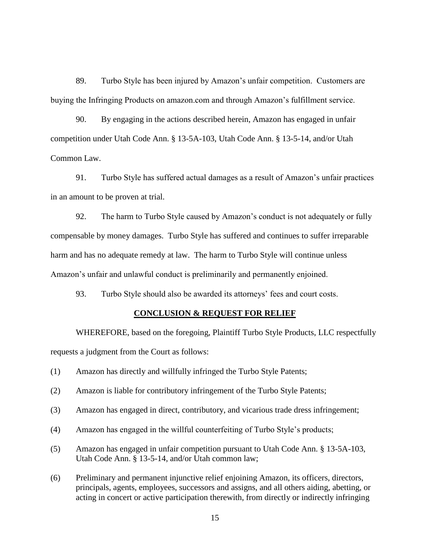89. Turbo Style has been injured by Amazon's unfair competition. Customers are buying the Infringing Products on amazon.com and through Amazon's fulfillment service.

90. By engaging in the actions described herein, Amazon has engaged in unfair competition under Utah Code Ann. § 13-5A-103, Utah Code Ann. § 13-5-14, and/or Utah Common Law.

91. Turbo Style has suffered actual damages as a result of Amazon's unfair practices in an amount to be proven at trial.

92. The harm to Turbo Style caused by Amazon's conduct is not adequately or fully compensable by money damages. Turbo Style has suffered and continues to suffer irreparable harm and has no adequate remedy at law. The harm to Turbo Style will continue unless Amazon's unfair and unlawful conduct is preliminarily and permanently enjoined.

93. Turbo Style should also be awarded its attorneys' fees and court costs.

#### **CONCLUSION & REQUEST FOR RELIEF**

WHEREFORE, based on the foregoing, Plaintiff Turbo Style Products, LLC respectfully requests a judgment from the Court as follows:

- (1) Amazon has directly and willfully infringed the Turbo Style Patents;
- (2) Amazon is liable for contributory infringement of the Turbo Style Patents;
- (3) Amazon has engaged in direct, contributory, and vicarious trade dress infringement;
- (4) Amazon has engaged in the willful counterfeiting of Turbo Style's products;
- (5) Amazon has engaged in unfair competition pursuant to Utah Code Ann. § 13-5A-103, Utah Code Ann. § 13-5-14, and/or Utah common law;
- (6) Preliminary and permanent injunctive relief enjoining Amazon, its officers, directors, principals, agents, employees, successors and assigns, and all others aiding, abetting, or acting in concert or active participation therewith, from directly or indirectly infringing